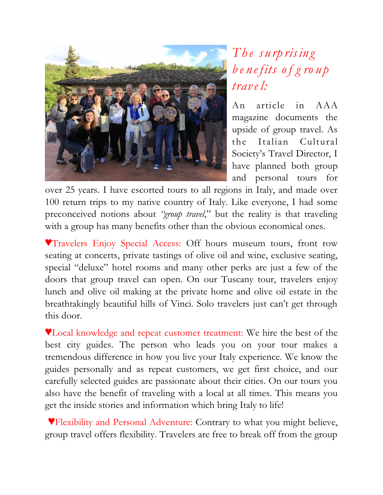

## *Th e s u rp risin g b e n e fits of g ro u p trave l:*

An article in AAA magazine documents the upside of group travel. As the Italian Cultural Society's Travel Director, I have planned both group and personal tours for

over 25 years. I have escorted tours to all regions in Italy, and made over 100 return trips to my native country of Italy. Like everyone, I had some preconceived notions about *"group travel*," but the reality is that traveling with a group has many benefits other than the obvious economical ones.

**VTravelers Enjoy Special Access: Off hours museum tours, front row** seating at concerts, private tastings of olive oil and wine, exclusive seating, special "deluxe" hotel rooms and many other perks are just a few of the doors that group travel can open. On our Tuscany tour, travelers enjoy lunch and olive oil making at the private home and olive oil estate in the breathtakingly beautiful hills of Vinci. Solo travelers just can't get through this door.

**V**Local knowledge and repeat customer treatment: We hire the best of the best city guides. The person who leads you on your tour makes a tremendous difference in how you live your Italy experience. We know the guides personally and as repeat customers, we get first choice, and our carefully selected guides are passionate about their cities. On our tours you also have the benefit of traveling with a local at all times. This means you get the inside stories and information which bring Italy to life!

**VFlexibility and Personal Adventure: Contrary to what you might believe,** group travel offers flexibility. Travelers are free to break off from the group